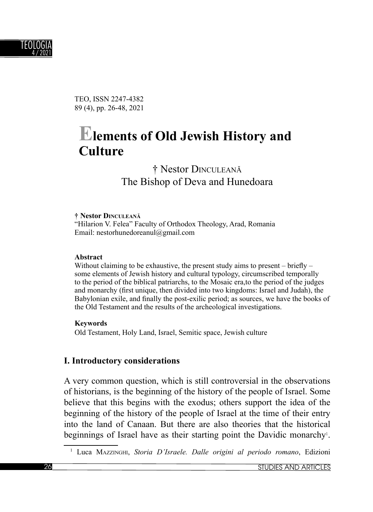

TEO, ISSN 2247-4382 89 (4), pp. 26-48, 2021

# **Elements of Old Jewish History and Culture**

† Nestor DINCULEANĂ The Bishop of Deva and Hunedoara

#### **† Nestor DINCULEAN<sup>Ă</sup>**

"Hilarion V. Felea" Faculty of Orthodox Theology, Arad, Romania Email: nestorhunedoreanul@gmail.com

#### **Abstract**

Without claiming to be exhaustive, the present study aims to present – briefly – some elements of Jewish history and cultural typology, circumscribed temporally to the period of the biblical patriarchs, to the Mosaic era,to the period of the judges and monarchy (first unique, then divided into two kingdoms: Israel and Judah), the Babylonian exile, and finally the post-exilic period; as sources, we have the books of the Old Testament and the results of the archeological investigations.

#### **Keywords**

Old Testament, Holy Land, Israel, Semitic space, Jewish culture

#### **I. Introductory considerations**

A very common question, which is still controversial in the observations of historians, is the beginning of the history of the people of Israel. Some believe that this begins with the exodus; others support the idea of the beginning of the history of the people of Israel at the time of their entry into the land of Canaan. But there are also theories that the historical beginnings of Israel have as their starting point the Davidic monarchy<sup>1</sup>.

<sup>1</sup> Luca MAZZINGHI, *Storia D'Israele. Dalle origini al periodo romano*, Edizioni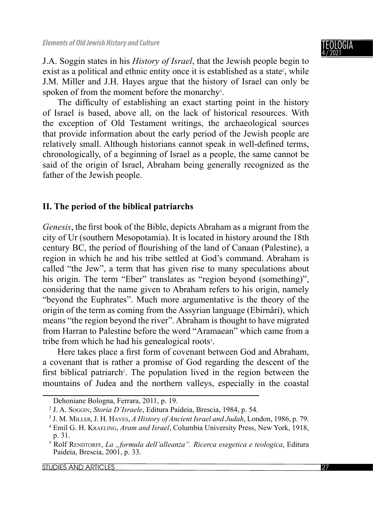J.A. Soggin states in his *History of Israel*, that the Jewish people begin to exist as a political and ethnic entity once it is established as a state<sup>2</sup>, while J.M. Miller and J.H. Hayes argue that the history of Israel can only be spoken of from the moment before the monarchy<sup>3</sup>.

The difficulty of establishing an exact starting point in the history of Israel is based, above all, on the lack of historical resources. With the exception of Old Testament writings, the archaeological sources that provide information about the early period of the Jewish people are relatively small. Although historians cannot speak in well-defined terms, chronologically, of a beginning of Israel as a people, the same cannot be said of the origin of Israel, Abraham being generally recognized as the father of the Jewish people.

# **II. The period of the biblical patriarchs**

Genesis, the first book of the Bible, depicts Abraham as a migrant from the city of Ur (southern Mesopotamia). It is located in history around the 18th century BC, the period of flourishing of the land of Canaan (Palestine), a region in which he and his tribe settled at God's command. Abraham is called "the Jew", a term that has given rise to many speculations about his origin. The term "Eber" translates as "region beyond (something)", considering that the name given to Abraham refers to his origin, namely "beyond the Euphrates". Much more argumentative is the theory of the origin of the term as coming from the Assyrian language (Ebirnâri), which means "the region beyond the river". Abraham is thought to have migrated from Harran to Palestine before the word "Aramaean" which came from a tribe from which he had his genealogical roots<sup>4</sup>.

Here takes place a first form of covenant between God and Abraham, a covenant that is rather a promise of God regarding the descent of the first biblical patriarch<sup>5</sup>. The population lived in the region between the mountains of Judea and the northern valleys, especially in the coastal

Dehoniane Bologna, Ferrara, 2011, p. 19.

<sup>2</sup> J. A. SOGGIN, *Storia D'Israele*, Editura Paideia, Brescia, 1984, p. 54.

<sup>3</sup> J. M. MILLER, J. H. HAYES, *A History of Ancient Israel and Judah*, London, 1986, p. 79.

<sup>4</sup> Emil G. H. KRAELING, *Aram and Israel*, Columbia University Press, New York, 1918, p. 31.

<sup>5</sup> Rolf RENDTORFF, *La "formula dell'alleanza". Ricerca esegetica e teologica*, Editura Paideia, Brescia, 2001, p. 33.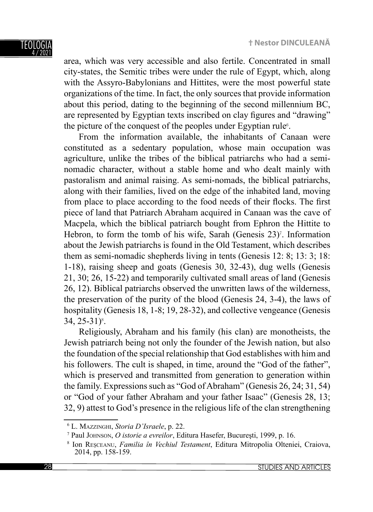

area, which was very accessible and also fertile. Concentrated in small city-states, the Semitic tribes were under the rule of Egypt, which, along with the Assyro-Babylonians and Hittites, were the most powerful state organizations of the time. In fact, the only sources that provide information about this period, dating to the beginning of the second millennium BC, are represented by Egyptian texts inscribed on clay figures and "drawing" the picture of the conquest of the peoples under Egyptian rule<sup>6</sup>.

From the information available, the inhabitants of Canaan were constituted as a sedentary population, whose main occupation was agriculture, unlike the tribes of the biblical patriarchs who had a seminomadic character, without a stable home and who dealt mainly with pastoralism and animal raising. As semi-nomads, the biblical patriarchs, along with their families, lived on the edge of the inhabited land, moving from place to place according to the food needs of their flocks. The first piece of land that Patriarch Abraham acquired in Canaan was the cave of Macpela, which the biblical patriarch bought from Ephron the Hittite to Hebron, to form the tomb of his wife, Sarah (Genesis 23)<sup>7</sup>. Information about the Jewish patriarchs is found in the Old Testament, which describes them as semi-nomadic shepherds living in tents (Genesis 12: 8; 13: 3; 18: 1-18), raising sheep and goats (Genesis 30, 32-43), dug wells (Genesis 21, 30; 26, 15-22) and temporarily cultivated small areas of land (Genesis 26, 12). Biblical patriarchs observed the unwritten laws of the wilderness, the preservation of the purity of the blood (Genesis 24, 3-4), the laws of hospitality (Genesis 18, 1-8; 19, 28-32), and collective vengeance (Genesis  $34, 25 - 31$ <sup>8</sup>.

Religiously, Abraham and his family (his clan) are monotheists, the Jewish patriarch being not only the founder of the Jewish nation, but also the foundation of the special relationship that God establishes with him and his followers. The cult is shaped, in time, around the "God of the father", which is preserved and transmitted from generation to generation within the family. Expressions such as "God of Abraham" (Genesis 26, 24; 31, 54) or "God of your father Abraham and your father Isaac" (Genesis 28, 13; 32, 9) attest to God's presence in the religious life of the clan strengthening

<sup>6</sup> L. MAZZINGHI, *Storia D'Israele*, p. 22.

<sup>7</sup> Paul JOHNSON, *O istorie a evreilor*, Editura Hasefer, Bucureşti, 1999, p. 16.

<sup>8</sup> Ion REŞCEANU, *Familia în Vechiul Testament*, Editura Mitropolia Olteniei, Craiova, 2014, pp. 158-159.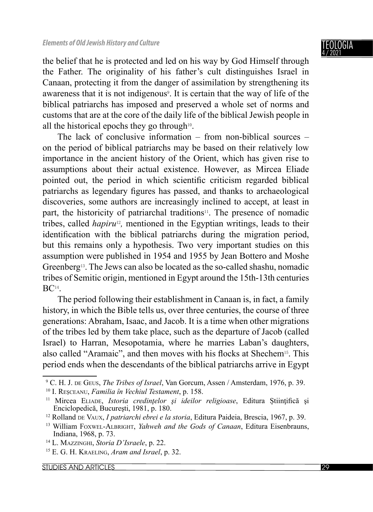the belief that he is protected and led on his way by God Himself through the Father. The originality of his father's cult distinguishes Israel in Canaan, protecting it from the danger of assimilation by strengthening its awareness that it is not indigenous<sup>9</sup>. It is certain that the way of life of the biblical patriarchs has imposed and preserved a whole set of norms and customs that are at the core of the daily life of the biblical Jewish people in all the historical epochs they go through $10$ .

The lack of conclusive information – from non-biblical sources – on the period of biblical patriarchs may be based on their relatively low importance in the ancient history of the Orient, which has given rise to assumptions about their actual existence. However, as Mircea Eliade pointed out, the period in which scientific criticism regarded biblical patriarchs as legendary figures has passed, and thanks to archaeological discoveries, some authors are increasingly inclined to accept, at least in part, the historicity of patriarchal traditions $11$ . The presence of nomadic tribes, called *hapiru<sup>12</sup>*, mentioned in the Egyptian writings, leads to their identification with the biblical patriarchs during the migration period, but this remains only a hypothesis. Two very important studies on this assumption were published in 1954 and 1955 by Jean Bottero and Moshe Greenberg13. The Jews can also be located as the so-called shashu, nomadic tribes of Semitic origin, mentioned in Egypt around the 15th-13th centuries BC14.

The period following their establishment in Canaan is, in fact, a family history, in which the Bible tells us, over three centuries, the course of three generations: Abraham, Isaac, and Jacob. It is a time when other migrations of the tribes led by them take place, such as the departure of Jacob (called Israel) to Harran, Mesopotamia, where he marries Laban's daughters, also called "Aramaic", and then moves with his flocks at Shechem<sup>15</sup>. This period ends when the descendants of the biblical patriarchs arrive in Egypt

<sup>9</sup> C. H. J. DE GEUS, *The Tribes of Israel*, Van Gorcum, Assen / Amsterdam, 1976, p. 39. 10 I. REŞCEANU, *Familia în Vechiul Testament*, p. 158.

<sup>&</sup>lt;sup>11</sup> Mircea ELIADE, *Istoria credințelor și ideilor religioase*, Editura Științifică și Enciclopedică, Bucureşti, 1981, p. 180.

<sup>12</sup> Rolland DE VAUX, *I patriarchi ebrei e la storia*, Editura Paideia, Brescia, 1967, p. 39.

<sup>13</sup> William FOXWEL-ALBRIGHT, *Yahweh and the Gods of Canaan*, Editura Eisenbrauns, Indiana, 1968, p. 73.

<sup>14</sup> L. MAZZINGHI, *Storia D'Israele*, p. 22.

<sup>15</sup> E. G. H. KRAELING, *Aram and Israel*, p. 32.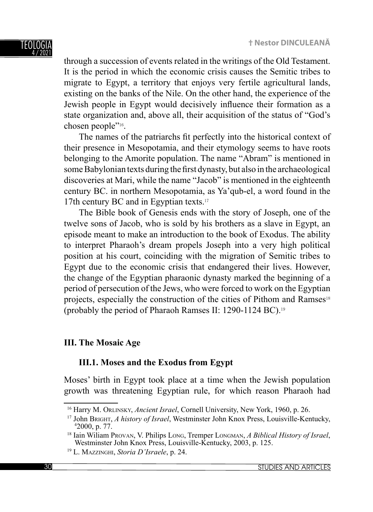through a succession of events related in the writings of the Old Testament. It is the period in which the economic crisis causes the Semitic tribes to migrate to Egypt, a territory that enjoys very fertile agricultural lands, existing on the banks of the Nile. On the other hand, the experience of the Jewish people in Egypt would decisively influence their formation as a state organization and, above all, their acquisition of the status of "God's chosen people"16.

The names of the patriarchs fit perfectly into the historical context of their presence in Mesopotamia, and their etymology seems to have roots belonging to the Amorite population. The name "Abram" is mentioned in some Babylonian texts during the first dynasty, but also in the archaeological discoveries at Mari, while the name "Jacob" is mentioned in the eighteenth century BC. in northern Mesopotamia, as Ya'qub-el, a word found in the 17th century BC and in Egyptian texts.<sup>17</sup>

The Bible book of Genesis ends with the story of Joseph, one of the twelve sons of Jacob, who is sold by his brothers as a slave in Egypt, an episode meant to make an introduction to the book of Exodus. The ability to interpret Pharaoh's dream propels Joseph into a very high political position at his court, coinciding with the migration of Semitic tribes to Egypt due to the economic crisis that endangered their lives. However, the change of the Egyptian pharaonic dynasty marked the beginning of a period of persecution of the Jews, who were forced to work on the Egyptian projects, especially the construction of the cities of Pithom and Ramses<sup>18</sup> (probably the period of Pharaoh Ramses II: 1290-1124 BC).<sup>19</sup>

# **III. The Mosaic Age**

## **III.1. Moses and the Exodus from Egypt**

Moses' birth in Egypt took place at a time when the Jewish population growth was threatening Egyptian rule, for which reason Pharaoh had

<sup>16</sup> Harry M. ORLINSKY, *Ancient Israel*, Cornell University, New York, 1960, p. 26.

<sup>17</sup> John BRIGHT, *A history of Israel*, Westminster John Knox Press, Louisville-Kentucky, 4  $42000$ , p. 77.

<sup>18</sup> Iain Wiliam PROVAN, V. Philips LONG, Tremper LONGMAN, *A Biblical History of Israel*, Westminster John Knox Press, Louisville-Kentucky, 2003, p. 125.

<sup>19</sup> L. MAZZINGHI, *Storia D'Israele*, p. 24.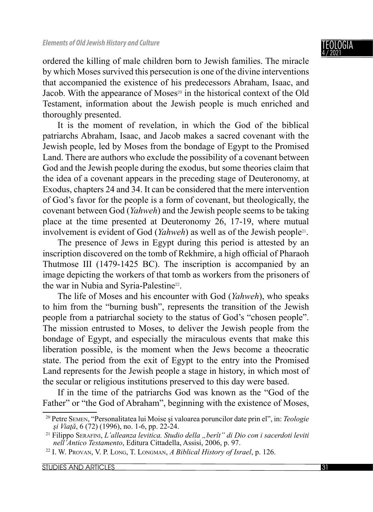ordered the killing of male children born to Jewish families. The miracle by which Moses survived this persecution is one of the divine interventions that accompanied the existence of his predecessors Abraham, Isaac, and Jacob. With the appearance of Moses<sup>20</sup> in the historical context of the Old Testament, information about the Jewish people is much enriched and thoroughly presented.

It is the moment of revelation, in which the God of the biblical patriarchs Abraham, Isaac, and Jacob makes a sacred covenant with the Jewish people, led by Moses from the bondage of Egypt to the Promised Land. There are authors who exclude the possibility of a covenant between God and the Jewish people during the exodus, but some theories claim that the idea of a covenant appears in the preceding stage of Deuteronomy, at Exodus, chapters 24 and 34. It can be considered that the mere intervention of God's favor for the people is a form of covenant, but theologically, the covenant between God (*Yahweh*) and the Jewish people seems to be taking place at the time presented at Deuteronomy 26, 17-19, where mutual involvement is evident of God (*Yahweh*) as well as of the Jewish people<sup>21</sup>.

The presence of Jews in Egypt during this period is attested by an inscription discovered on the tomb of Rekhmire, a high official of Pharaoh Thutmose III (1479-1425 BC). The inscription is accompanied by an image depicting the workers of that tomb as workers from the prisoners of the war in Nubia and Syria-Palestine<sup>22</sup>.

The life of Moses and his encounter with God (*Yahweh*), who speaks to him from the "burning bush", represents the transition of the Jewish people from a patriarchal society to the status of God's "chosen people". The mission entrusted to Moses, to deliver the Jewish people from the bondage of Egypt, and especially the miraculous events that make this liberation possible, is the moment when the Jews become a theocratic state. The period from the exit of Egypt to the entry into the Promised Land represents for the Jewish people a stage in history, in which most of the secular or religious institutions preserved to this day were based.

If in the time of the patriarchs God was known as the "God of the Father" or "the God of Abraham", beginning with the existence of Moses,

<sup>20</sup> Petre SEMEN, "Personalitatea lui Moise şi valoarea poruncilor date prin el", in: *Teologie şi Viaţă*, 6 (72) (1996), no. 1-6, pp. 22-24.

<sup>21</sup> Filippo SERAFINI, *L'alleanza levitica. Studio della "berît" di Dio con i sacerdoti leviti nell'Antico Testamento*, Editura Cittadella, Assisi, 2006, p. 97.

<sup>22</sup> I. W. PROVAN, V. P. LONG, T. LONGMAN, *A Biblical History of Israel*, p. 126.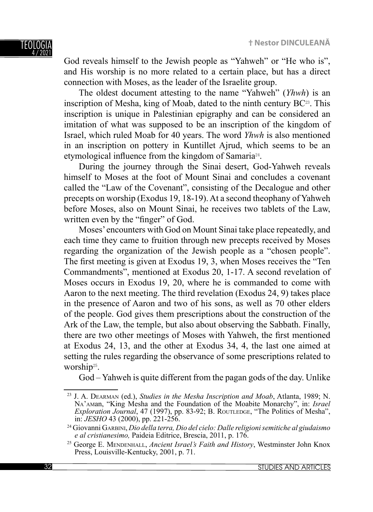God reveals himself to the Jewish people as "Yahweh" or "He who is", and His worship is no more related to a certain place, but has a direct connection with Moses, as the leader of the Israelite group.

The oldest document attesting to the name "Yahweh" (*Yhwh*) is an inscription of Mesha, king of Moab, dated to the ninth century  $BC^{23}$ . This inscription is unique in Palestinian epigraphy and can be considered an imitation of what was supposed to be an inscription of the kingdom of Israel, which ruled Moab for 40 years. The word *Yhwh* is also mentioned in an inscription on pottery in Kuntillet Ajrud, which seems to be an etymological influence from the kingdom of Samaria<sup>24</sup>.

During the journey through the Sinai desert, God-Yahweh reveals himself to Moses at the foot of Mount Sinai and concludes a covenant called the "Law of the Covenant", consisting of the Decalogue and other precepts on worship (Exodus 19, 18-19). At a second theophany of Yahweh before Moses, also on Mount Sinai, he receives two tablets of the Law, written even by the "finger" of God.

Moses' encounters with God on Mount Sinai take place repeatedly, and each time they came to fruition through new precepts received by Moses regarding the organization of the Jewish people as a "chosen people". The first meeting is given at Exodus 19, 3, when Moses receives the "Ten Commandments", mentioned at Exodus 20, 1-17. A second revelation of Moses occurs in Exodus 19, 20, where he is commanded to come with Aaron to the next meeting. The third revelation (Exodus 24, 9) takes place in the presence of Aaron and two of his sons, as well as 70 other elders of the people. God gives them prescriptions about the construction of the Ark of the Law, the temple, but also about observing the Sabbath. Finally, there are two other meetings of Moses with Yahweh, the first mentioned at Exodus 24, 13, and the other at Exodus 34, 4, the last one aimed at setting the rules regarding the observance of some prescriptions related to worship25.

God – Yahweh is quite different from the pagan gods of the day. Unlike

<sup>23</sup> J. A. DEARMAN (ed.), *Studies in the Mesha Inscription and Moab*, Atlanta, 1989; N. NA'AMan, "King Mesha and the Foundation of the Moabite Monarchy", in: *Israel Exploration Journal*, 47 (1997), pp. 83-92; B. ROUTLEDGE, "The Politics of Mesha", in: *JESHO* 43 (2000), pp. 221-256.

<sup>24</sup> Giovanni GARBINI, *Dio della terra, Dio del cielo: Dalle religioni semitiche al giudaismo e al cristianesimo,* Paideia Editrice, Brescia, 2011, p. 176.

<sup>25</sup> George E. MENDENHALL, *Ancient Israel's Faith and History*, Westminster John Knox Press, Louisville-Kentucky, 2001, p. 71.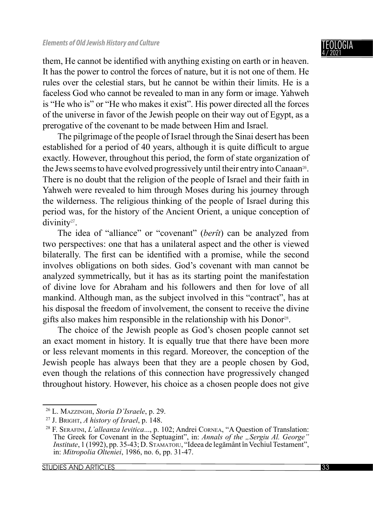them, He cannot be identified with anything existing on earth or in heaven. It has the power to control the forces of nature, but it is not one of them. He rules over the celestial stars, but he cannot be within their limits. He is a faceless God who cannot be revealed to man in any form or image. Yahweh is "He who is" or "He who makes it exist". His power directed all the forces of the universe in favor of the Jewish people on their way out of Egypt, as a prerogative of the covenant to be made between Him and Israel.

The pilgrimage of the people of Israel through the Sinai desert has been established for a period of 40 years, although it is quite difficult to argue exactly. However, throughout this period, the form of state organization of the Jews seems to have evolved progressively until their entry into Canaan26. There is no doubt that the religion of the people of Israel and their faith in Yahweh were revealed to him through Moses during his journey through the wilderness. The religious thinking of the people of Israel during this period was, for the history of the Ancient Orient, a unique conception of divinity<sup>27</sup>.

The idea of "alliance" or "covenant" (*berît*) can be analyzed from two perspectives: one that has a unilateral aspect and the other is viewed bilaterally. The first can be identified with a promise, while the second involves obligations on both sides. God's covenant with man cannot be analyzed symmetrically, but it has as its starting point the manifestation of divine love for Abraham and his followers and then for love of all mankind. Although man, as the subject involved in this "contract", has at his disposal the freedom of involvement, the consent to receive the divine gifts also makes him responsible in the relationship with his Donor28.

The choice of the Jewish people as God's chosen people cannot set an exact moment in history. It is equally true that there have been more or less relevant moments in this regard. Moreover, the conception of the Jewish people has always been that they are a people chosen by God, even though the relations of this connection have progressively changed throughout history. However, his choice as a chosen people does not give

<sup>26</sup> L. MAZZINGHI, *Storia D'Israele*, p. 29.

<sup>27</sup> J. BRIGHT, *A history of Israel*, p. 148.

<sup>28</sup> F. SERAFINI, *L'alleanza levitica*..., p. 102; Andrei CORNEA, "A Question of Translation: The Greek for Covenant in the Septuagint", in: *Annals of the "Sergiu Al. George*" *Institute*, 1 (1992), pp. 35-43; D. STAMATOIU, "Ideea de legământ în Vechiul Testament", in: *Mitropolia Olteniei*, 1986, no. 6, pp. 31-47.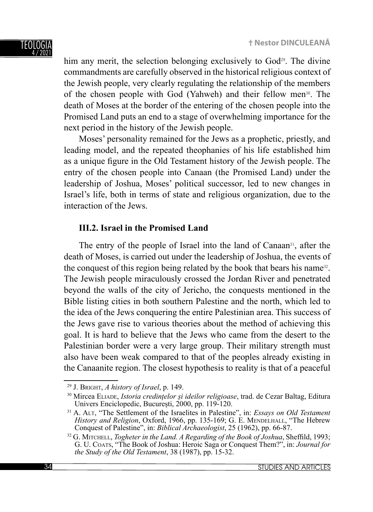him any merit, the selection belonging exclusively to  $God<sup>29</sup>$ . The divine commandments are carefully observed in the historical religious context of the Jewish people, very clearly regulating the relationship of the members of the chosen people with God (Yahweh) and their fellow men30. The death of Moses at the border of the entering of the chosen people into the Promised Land puts an end to a stage of overwhelming importance for the next period in the history of the Jewish people.

Moses' personality remained for the Jews as a prophetic, priestly, and leading model, and the repeated theophanies of his life established him as a unique figure in the Old Testament history of the Jewish people. The entry of the chosen people into Canaan (the Promised Land) under the leadership of Joshua, Moses' political successor, led to new changes in Israel's life, both in terms of state and religious organization, due to the interaction of the Jews.

# **III.2. Israel in the Promised Land**

The entry of the people of Israel into the land of Canaan<sup>31</sup>, after the death of Moses, is carried out under the leadership of Joshua, the events of the conquest of this region being related by the book that bears his name<sup>32</sup>. The Jewish people miraculously crossed the Jordan River and penetrated beyond the walls of the city of Jericho, the conquests mentioned in the Bible listing cities in both southern Palestine and the north, which led to the idea of the Jews conquering the entire Palestinian area. This success of the Jews gave rise to various theories about the method of achieving this goal. It is hard to believe that the Jews who came from the desert to the Palestinian border were a very large group. Their military strength must also have been weak compared to that of the peoples already existing in the Canaanite region. The closest hypothesis to reality is that of a peaceful

<sup>29</sup> J. BRIGHT, *A history of Israel*, p. 149.

<sup>30</sup> Mircea ELIADE, *Istoria credințelor și ideilor religioase*, trad. de Cezar Baltag, Editura Univers Enciclopedic, București, 2000, pp. 119-120.

<sup>31</sup> A. ALT, "The Settlement of the Israelites in Palestine", in: *Essays on Old Testament History and Religion*, Oxford, 1966, pp. 135-169; G. E. MENDELHALL, "The Hebrew Conquest of Palestine", in: *Biblical Archaeologist*, 25 (1962), pp. 66-87.

<sup>&</sup>lt;sup>32</sup> G. MITCHELL, *Togheter in the Land. A Regarding of the Book of Joshua*, Sheffild, 1993; G. U. COATS, "The Book of Joshua: Heroic Saga or Conquest Them?", in: *Journal for the Study of the Old Testament*, 38 (1987), pp. 15-32.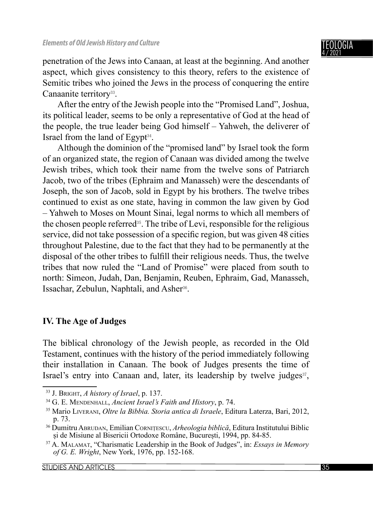penetration of the Jews into Canaan, at least at the beginning. And another aspect, which gives consistency to this theory, refers to the existence of Semitic tribes who joined the Jews in the process of conquering the entire Canaanite territory<sup>33</sup>.

After the entry of the Jewish people into the "Promised Land", Joshua, its political leader, seems to be only a representative of God at the head of the people, the true leader being God himself – Yahweh, the deliverer of Israel from the land of Egypt $34$ .

Although the dominion of the "promised land" by Israel took the form of an organized state, the region of Canaan was divided among the twelve Jewish tribes, which took their name from the twelve sons of Patriarch Jacob, two of the tribes (Ephraim and Manasseh) were the descendants of Joseph, the son of Jacob, sold in Egypt by his brothers. The twelve tribes continued to exist as one state, having in common the law given by God – Yahweh to Moses on Mount Sinai, legal norms to which all members of the chosen people referred35. The tribe of Levi, responsible for the religious service, did not take possession of a specific region, but was given 48 cities throughout Palestine, due to the fact that they had to be permanently at the disposal of the other tribes to fulfill their religious needs. Thus, the twelve tribes that now ruled the "Land of Promise" were placed from south to north: Simeon, Judah, Dan, Benjamin, Reuben, Ephraim, Gad, Manasseh, Issachar, Zebulun, Naphtali, and Asher<sup>36</sup>.

# **IV. The Age of Judges**

The biblical chronology of the Jewish people, as recorded in the Old Testament, continues with the history of the period immediately following their installation in Canaan. The book of Judges presents the time of Israel's entry into Canaan and, later, its leadership by twelve judges<sup>37</sup>,

<sup>33</sup> J. BRIGHT, *A history of Israel*, p. 137.

<sup>34</sup> G. E. MENDENHALL, *Ancient Israel's Faith and History*, p. 74.

<sup>35</sup> Mario LIVERANI, *Oltre la Bibbia. Storia antica di Israele*, Editura Laterza, Bari, 2012, p. 73.

<sup>36</sup> Dumitru ABRUDAN, Emilian CORNIȚESCU, *Arheologia biblică*, Editura Institutului Biblic și de Misiune al Bisericii Ortodoxe Române, București, 1994, pp. 84-85.

<sup>37</sup> A. MALAMAT, "Charismatic Leadership in the Book of Judges", in: *Essays in Memory of G. E. Wright*, New York, 1976, pp. 152-168.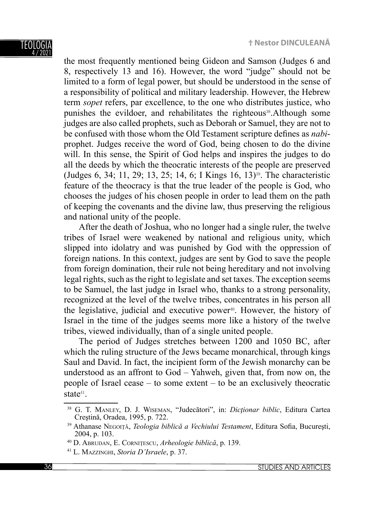TEOLOGIA 4 / 2021

the most frequently mentioned being Gideon and Samson (Judges 6 and 8, respectively 13 and 16). However, the word "judge" should not be limited to a form of legal power, but should be understood in the sense of a responsibility of political and military leadership. However, the Hebrew term *sopet* refers, par excellence, to the one who distributes justice, who punishes the evildoer, and rehabilitates the righteous<sup>38</sup>.Although some judges are also called prophets, such as Deborah or Samuel, they are not to be confused with those whom the Old Testament scripture defines as *nabi*prophet. Judges receive the word of God, being chosen to do the divine will. In this sense, the Spirit of God helps and inspires the judges to do all the deeds by which the theocratic interests of the people are preserved (Judges 6, 34; 11, 29; 13, 25; 14, 6; I Kings 16, 13)39. The characteristic feature of the theocracy is that the true leader of the people is God, who chooses the judges of his chosen people in order to lead them on the path of keeping the covenants and the divine law, thus preserving the religious and national unity of the people.

After the death of Joshua, who no longer had a single ruler, the twelve tribes of Israel were weakened by national and religious unity, which slipped into idolatry and was punished by God with the oppression of foreign nations. In this context, judges are sent by God to save the people from foreign domination, their rule not being hereditary and not involving legal rights, such as the right to legislate and set taxes. The exception seems to be Samuel, the last judge in Israel who, thanks to a strong personality, recognized at the level of the twelve tribes, concentrates in his person all the legislative, judicial and executive power<sup>40</sup>. However, the history of Israel in the time of the judges seems more like a history of the twelve tribes, viewed individually, than of a single united people.

The period of Judges stretches between 1200 and 1050 BC, after which the ruling structure of the Jews became monarchical, through kings Saul and David. In fact, the incipient form of the Jewish monarchy can be understood as an affront to God – Yahweh, given that, from now on, the people of Israel cease – to some extent – to be an exclusively theocratic state<sup>41</sup>

<sup>38</sup> G. T. MANLEY, D. J. WISEMAN, "Judecători", in: *Dicţionar biblic*, Editura Cartea Creştină, Oradea, 1995, p. 722.

<sup>&</sup>lt;sup>39</sup> Athanase NEGOITĂ, *Teologia biblică a Vechiului Testament*, Editura Sofia, București, 2004, p. 103.

<sup>40</sup> D. ABRUDAN, E. CORNIȚESCU, *Arheologie biblică*, p. 139.

<sup>41</sup> L. MAZZINGHI, *Storia D'Israele*, p. 37.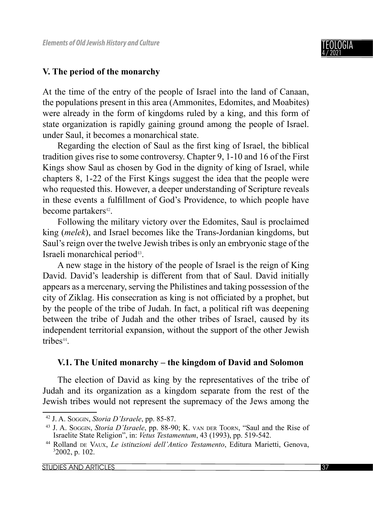

## **V. The period of the monarchy**

At the time of the entry of the people of Israel into the land of Canaan, the populations present in this area (Ammonites, Edomites, and Moabites) were already in the form of kingdoms ruled by a king, and this form of state organization is rapidly gaining ground among the people of Israel. under Saul, it becomes a monarchical state.

Regarding the election of Saul as the first king of Israel, the biblical tradition gives rise to some controversy. Chapter 9, 1-10 and 16 of the First Kings show Saul as chosen by God in the dignity of king of Israel, while chapters 8, 1-22 of the First Kings suggest the idea that the people were who requested this. However, a deeper understanding of Scripture reveals in these events a fulfillment of God's Providence, to which people have become partakers<sup>42</sup>.

Following the military victory over the Edomites, Saul is proclaimed king (*melek*), and Israel becomes like the Trans-Jordanian kingdoms, but Saul's reign over the twelve Jewish tribes is only an embryonic stage of the Israeli monarchical period43.

A new stage in the history of the people of Israel is the reign of King David. David's leadership is different from that of Saul. David initially appears as a mercenary, serving the Philistines and taking possession of the city of Ziklag. His consecration as king is not officiated by a prophet, but by the people of the tribe of Judah. In fact, a political rift was deepening between the tribe of Judah and the other tribes of Israel, caused by its independent territorial expansion, without the support of the other Jewish tribes<sup>44</sup>.

## **V.1. The United monarchy – the kingdom of David and Solomon**

The election of David as king by the representatives of the tribe of Judah and its organization as a kingdom separate from the rest of the Jewish tribes would not represent the supremacy of the Jews among the

<sup>42</sup> J. A. SOGGIN, *Storia D'Israele*, pp. 85-87.

<sup>43</sup> J. A. SOGGIN, *Storia D'Israele*, pp. 88-90; K. VAN DER TOORN, "Saul and the Rise of Israelite State Religion", in: *Vetus Testamentum*, 43 (1993), pp. 519-542.

<sup>44</sup> Rolland DE VAUX, *Le istituzioni dell'Antico Testamento*, Editura Marietti, Genova, 3 2002, p. 102.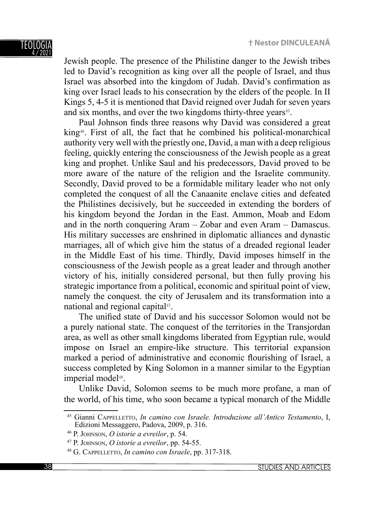

Jewish people. The presence of the Philistine danger to the Jewish tribes led to David's recognition as king over all the people of Israel, and thus Israel was absorbed into the kingdom of Judah. David's confirmation as king over Israel leads to his consecration by the elders of the people. In II Kings 5, 4-5 it is mentioned that David reigned over Judah for seven years and six months, and over the two kingdoms thirty-three years<sup>45</sup>.

Paul Johnson finds three reasons why David was considered a great king46. First of all, the fact that he combined his political-monarchical authority very well with the priestly one, David, a man with a deep religious feeling, quickly entering the consciousness of the Jewish people as a great king and prophet. Unlike Saul and his predecessors, David proved to be more aware of the nature of the religion and the Israelite community. Secondly, David proved to be a formidable military leader who not only completed the conquest of all the Canaanite enclave cities and defeated the Philistines decisively, but he succeeded in extending the borders of his kingdom beyond the Jordan in the East. Ammon, Moab and Edom and in the north conquering Aram – Zobar and even Aram – Damascus. His military successes are enshrined in diplomatic alliances and dynastic marriages, all of which give him the status of a dreaded regional leader in the Middle East of his time. Thirdly, David imposes himself in the consciousness of the Jewish people as a great leader and through another victory of his, initially considered personal, but then fully proving his strategic importance from a political, economic and spiritual point of view, namely the conquest. the city of Jerusalem and its transformation into a national and regional capital<sup>47</sup>.

The unified state of David and his successor Solomon would not be a purely national state. The conquest of the territories in the Transjordan area, as well as other small kingdoms liberated from Egyptian rule, would impose on Israel an empire-like structure. This territorial expansion marked a period of administrative and economic flourishing of Israel, a success completed by King Solomon in a manner similar to the Egyptian imperial model<sup>48</sup>.

Unlike David, Solomon seems to be much more profane, a man of the world, of his time, who soon became a typical monarch of the Middle

<sup>45</sup> Gianni CAPPELLETTO, *In camino con Israele. Introduzione all'Antico Testamento*, I, Edizioni Messaggero, Padova, 2009, p. 316.

<sup>46</sup> P. JOHNSON, *O istorie a evreilor*, p. 54.

<sup>47</sup> P. JOHNSON, *O istorie a evreilor*, pp. 54-55.

<sup>48</sup> G. CAPPELLETTO, *In camino con Israele*, pp. 317-318.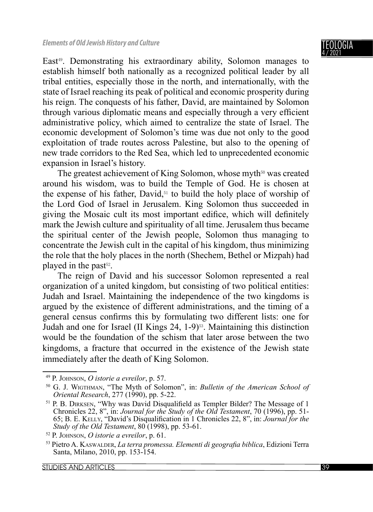East<sup>49</sup>. Demonstrating his extraordinary ability, Solomon manages to establish himself both nationally as a recognized political leader by all tribal entities, especially those in the north, and internationally, with the state of Israel reaching its peak of political and economic prosperity during his reign. The conquests of his father, David, are maintained by Solomon through various diplomatic means and especially through a very efficient administrative policy, which aimed to centralize the state of Israel. The economic development of Solomon's time was due not only to the good exploitation of trade routes across Palestine, but also to the opening of new trade corridors to the Red Sea, which led to unprecedented economic expansion in Israel's history.

The greatest achievement of King Solomon, whose myth<sup>50</sup> was created around his wisdom, was to build the Temple of God. He is chosen at the expense of his father, David,<sup>51</sup> to build the holy place of worship of the Lord God of Israel in Jerusalem. King Solomon thus succeeded in giving the Mosaic cult its most important edifice, which will definitely mark the Jewish culture and spirituality of all time. Jerusalem thus became the spiritual center of the Jewish people, Solomon thus managing to concentrate the Jewish cult in the capital of his kingdom, thus minimizing the role that the holy places in the north (Shechem, Bethel or Mizpah) had played in the past $52$ .

The reign of David and his successor Solomon represented a real organization of a united kingdom, but consisting of two political entities: Judah and Israel. Maintaining the independence of the two kingdoms is argued by the existence of different administrations, and the timing of a general census confirms this by formulating two different lists: one for Judah and one for Israel (II Kings 24, 1-9)53. Maintaining this distinction would be the foundation of the schism that later arose between the two kingdoms, a fracture that occurred in the existence of the Jewish state immediately after the death of King Solomon.

<sup>49</sup> P. JOHNSON, *O istorie a evreilor*, p. 57.

<sup>50</sup> G. J. WIGTHMAN, "The Myth of Solomon", in: *Bulletin of the American School of Oriental Research*, 277 (1990), pp. 5-22.

 $<sup>51</sup>$  P. B. DIRKSEN, "Why was David Disqualifield as Templer Bilder? The Message of 1</sup> Chronicles 22, 8", in: *Journal for the Study of the Old Testament*, 70 (1996), pp. 51- 65; B. E. KELLY, "David's Disqualification in 1 Chronicles 22, 8", in: *Journal for the Study of the Old Testament*, 80 (1998), pp. 53-61.

<sup>52</sup> P. JOHNSON, *O istorie a evreilor*, p. 61.

<sup>53</sup> Pietro A. KASWALDER, *La terra promessa. Elementi di geografi a biblica*, Edizioni Terra Santa, Milano, 2010, pp. 153-154.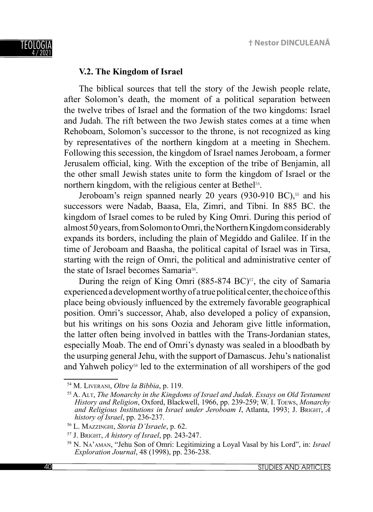

## **V.2. The Kingdom of Israel**

The biblical sources that tell the story of the Jewish people relate, after Solomon's death, the moment of a political separation between the twelve tribes of Israel and the formation of the two kingdoms: Israel and Judah. The rift between the two Jewish states comes at a time when Rehoboam, Solomon's successor to the throne, is not recognized as king by representatives of the northern kingdom at a meeting in Shechem. Following this secession, the kingdom of Israel names Jeroboam, a former Jerusalem official, king. With the exception of the tribe of Benjamin, all the other small Jewish states unite to form the kingdom of Israel or the northern kingdom, with the religious center at Bethel<sup>54</sup>.

Jeroboam's reign spanned nearly 20 years  $(930-910 \text{ BC})$ ,<sup>55</sup> and his successors were Nadab, Baasa, Ela, Zimri, and Tibni. In 885 BC. the kingdom of Israel comes to be ruled by King Omri. During this period of almost 50 years, from Solomon to Omri, the Northern Kingdom considerably expands its borders, including the plain of Megiddo and Galilee. If in the time of Jeroboam and Baasha, the political capital of Israel was in Tirsa, starting with the reign of Omri, the political and administrative center of the state of Israel becomes Samaria56.

During the reign of King Omri (885-874 BC) $57$ , the city of Samaria experienced a development worthy of a true political center, the choice of this place being obviously influenced by the extremely favorable geographical position. Omri's successor, Ahab, also developed a policy of expansion, but his writings on his sons Oozia and Jehoram give little information, the latter often being involved in battles with the Trans-Jordanian states, especially Moab. The end of Omri's dynasty was sealed in a bloodbath by the usurping general Jehu, with the support of Damascus. Jehu's nationalist and Yahweh policy<sup>58</sup> led to the extermination of all worshipers of the god

<sup>54</sup> M. LIVERANI, *Oltre la Bibbia*, p. 119.

<sup>55</sup> A. ALT, *The Monarchy in the Kingdoms of Israel and Judah*. *Essays on Old Testament History and Religion*, Oxford, Blackwell, 1966, pp. 239-259; W. I. TOEWS, *Monarchy and Religious Institutions in Israel under Jeroboam I*, Atlanta, 1993; J. BRIGHT, *A history of Israel*, pp. 236-237.

<sup>56</sup> L. MAZZINGHI, *Storia D'Israele*, p. 62.

<sup>57</sup> J. BRIGHT, *A history of Israel*, pp. 243-247.

<sup>58</sup> N. NA'AMAN, "Jehu Son of Omri: Legitimizing a Loyal Vasal by his Lord", in: *Israel Exploration Journal*, 48 (1998), pp. 236-238.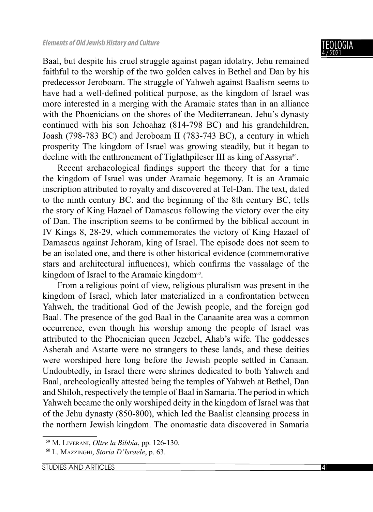Baal, but despite his cruel struggle against pagan idolatry, Jehu remained faithful to the worship of the two golden calves in Bethel and Dan by his predecessor Jeroboam. The struggle of Yahweh against Baalism seems to have had a well-defined political purpose, as the kingdom of Israel was more interested in a merging with the Aramaic states than in an alliance with the Phoenicians on the shores of the Mediterranean. Jehu's dynasty continued with his son Jehoahaz (814-798 BC) and his grandchildren, Joash (798-783 BC) and Jeroboam II (783-743 BC), a century in which prosperity The kingdom of Israel was growing steadily, but it began to decline with the enthronement of Tiglathpileser III as king of Assyria<sup>59</sup>.

Recent archaeological findings support the theory that for a time the kingdom of Israel was under Aramaic hegemony. It is an Aramaic inscription attributed to royalty and discovered at Tel-Dan. The text, dated to the ninth century BC. and the beginning of the 8th century BC, tells the story of King Hazael of Damascus following the victory over the city of Dan. The inscription seems to be confirmed by the biblical account in IV Kings 8, 28-29, which commemorates the victory of King Hazael of Damascus against Jehoram, king of Israel. The episode does not seem to be an isolated one, and there is other historical evidence (commemorative stars and architectural influences), which confirms the vassalage of the kingdom of Israel to the Aramaic kingdom<sup>60</sup>.

From a religious point of view, religious pluralism was present in the kingdom of Israel, which later materialized in a confrontation between Yahweh, the traditional God of the Jewish people, and the foreign god Baal. The presence of the god Baal in the Canaanite area was a common occurrence, even though his worship among the people of Israel was attributed to the Phoenician queen Jezebel, Ahab's wife. The goddesses Asherah and Astarte were no strangers to these lands, and these deities were worshiped here long before the Jewish people settled in Canaan. Undoubtedly, in Israel there were shrines dedicated to both Yahweh and Baal, archeologically attested being the temples of Yahweh at Bethel, Dan and Shiloh, respectively the temple of Baal in Samaria. The period in which Yahweh became the only worshiped deity in the kingdom of Israel was that of the Jehu dynasty (850-800), which led the Baalist cleansing process in the northern Jewish kingdom. The onomastic data discovered in Samaria

<sup>59</sup> M. LIVERANI, *Oltre la Bibbia*, pp. 126-130.

<sup>60</sup> L. MAZZINGHI, *Storia D'Israele*, p. 63.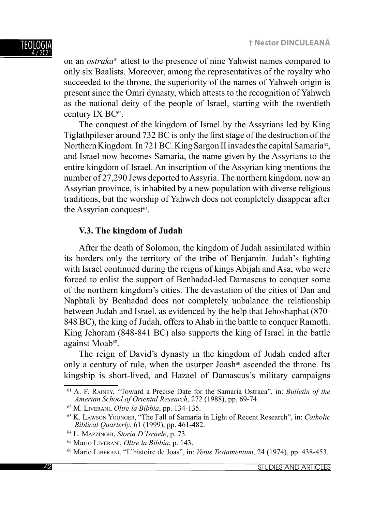on an *ostraka*61 attest to the presence of nine Yahwist names compared to only six Baalists. Moreover, among the representatives of the royalty who succeeded to the throne, the superiority of the names of Yahweh origin is present since the Omri dynasty, which attests to the recognition of Yahweh as the national deity of the people of Israel, starting with the twentieth century IX BC<sup>62</sup>.

The conquest of the kingdom of Israel by the Assyrians led by King Tiglathpileser around 732 BC is only the first stage of the destruction of the Northern Kingdom. In 721 BC. King Sargon II invades the capital Samaria63, and Israel now becomes Samaria, the name given by the Assyrians to the entire kingdom of Israel. An inscription of the Assyrian king mentions the number of 27,290 Jews deported to Assyria. The northern kingdom, now an Assyrian province, is inhabited by a new population with diverse religious traditions, but the worship of Yahweh does not completely disappear after the Assyrian conquest<sup>64</sup>.

# **V.3. The kingdom of Judah**

After the death of Solomon, the kingdom of Judah assimilated within its borders only the territory of the tribe of Benjamin. Judah's fighting with Israel continued during the reigns of kings Abijah and Asa, who were forced to enlist the support of Benhadad-led Damascus to conquer some of the northern kingdom's cities. The devastation of the cities of Dan and Naphtali by Benhadad does not completely unbalance the relationship between Judah and Israel, as evidenced by the help that Jehoshaphat (870- 848 BC), the king of Judah, offers to Ahab in the battle to conquer Ramoth. King Jehoram (848-841 BC) also supports the king of Israel in the battle against Moab65.

The reign of David's dynasty in the kingdom of Judah ended after only a century of rule, when the usurper Joash<sup> $66$ </sup> ascended the throne. Its kingship is short-lived, and Hazael of Damascus's military campaigns

<sup>61</sup> A. F. RAINEY, "Toward a Precise Date for the Samaria Ostraca", in: *Bulletin of the Amerian School of Oriental Research*, 272 (1988), pp. 69-74.

<sup>62</sup> M. LIVERANI, *Oltre la Bibbia*, pp. 134-135.

<sup>63</sup> K. LAWSON YOUNGER, "The Fall of Samaria in Light of Recent Research", in: *Catholic Biblical Quarterly*, 61 (1999), pp. 461-482.

<sup>64</sup> L. MAZZINGHI, *Storia D'Israele*, p. 73.

<sup>65</sup> Mario LIVERANI, *Oltre la Bibbia*, p. 143.

<sup>66</sup> Mario LIBERANI, "L'histoire de Joas", in: *Vetus Testamentum*, 24 (1974), pp. 438-453.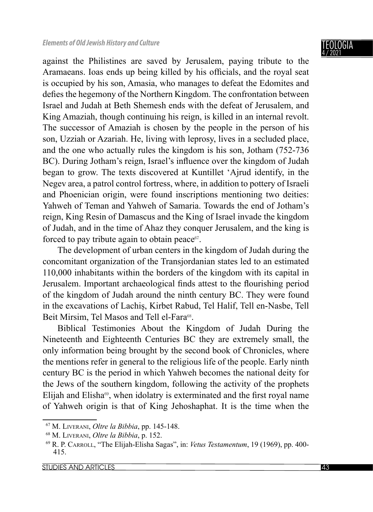against the Philistines are saved by Jerusalem, paying tribute to the Aramaeans. Ioas ends up being killed by his officials, and the royal seat is occupied by his son, Amasia, who manages to defeat the Edomites and defies the hegemony of the Northern Kingdom. The confrontation between Israel and Judah at Beth Shemesh ends with the defeat of Jerusalem, and King Amaziah, though continuing his reign, is killed in an internal revolt. The successor of Amaziah is chosen by the people in the person of his son, Uzziah or Azariah. He, living with leprosy, lives in a secluded place, and the one who actually rules the kingdom is his son, Jotham (752-736 BC). During Jotham's reign, Israel's influence over the kingdom of Judah began to grow. The texts discovered at Kuntillet 'Ajrud identify, in the Negev area, a patrol control fortress, where, in addition to pottery of Israeli and Phoenician origin, were found inscriptions mentioning two deities: Yahweh of Teman and Yahweh of Samaria. Towards the end of Jotham's reign, King Resin of Damascus and the King of Israel invade the kingdom of Judah, and in the time of Ahaz they conquer Jerusalem, and the king is forced to pay tribute again to obtain peace $67$ .

The development of urban centers in the kingdom of Judah during the concomitant organization of the Transjordanian states led to an estimated 110,000 inhabitants within the borders of the kingdom with its capital in Jerusalem. Important archaeological finds attest to the flourishing period of the kingdom of Judah around the ninth century BC. They were found in the excavations of Lachiș, Kirbet Rabud, Tel Halif, Tell en-Nasbe, Tell Beit Mirsim, Tel Masos and Tell el-Fara<sup>68</sup>.

Biblical Testimonies About the Kingdom of Judah During the Nineteenth and Eighteenth Centuries BC they are extremely small, the only information being brought by the second book of Chronicles, where the mentions refer in general to the religious life of the people. Early ninth century BC is the period in which Yahweh becomes the national deity for the Jews of the southern kingdom, following the activity of the prophets Elijah and Elisha $69$ , when idolatry is exterminated and the first royal name of Yahweh origin is that of King Jehoshaphat. It is the time when the

<sup>67</sup> M. LIVERANI, *Oltre la Bibbia*, pp. 145-148.

<sup>68</sup> M. LIVERANI, *Oltre la Bibbia*, p. 152.

<sup>69</sup> R. P. CARROLL, "The Elijah-Elisha Sagas", in: *Vetus Testamentum*, 19 (1969), pp. 400- 415.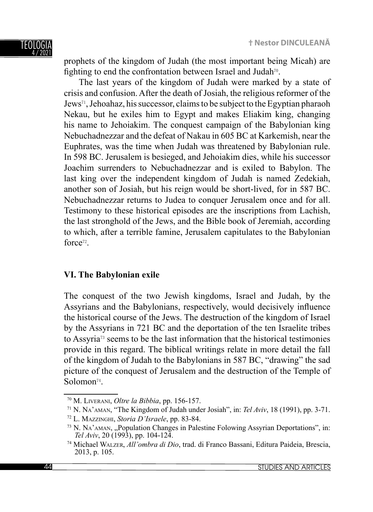prophets of the kingdom of Judah (the most important being Micah) are fighting to end the confrontation between Israel and Judah<sup>70</sup>.

The last years of the kingdom of Judah were marked by a state of crisis and confusion. After the death of Josiah, the religious reformer of the Jews71, Jehoahaz, his successor, claims to be subject to the Egyptian pharaoh Nekau, but he exiles him to Egypt and makes Eliakim king, changing his name to Jehoiakim. The conquest campaign of the Babylonian king Nebuchadnezzar and the defeat of Nakau in 605 BC at Karkemish, near the Euphrates, was the time when Judah was threatened by Babylonian rule. In 598 BC. Jerusalem is besieged, and Jehoiakim dies, while his successor Joachim surrenders to Nebuchadnezzar and is exiled to Babylon. The last king over the independent kingdom of Judah is named Zedekiah, another son of Josiah, but his reign would be short-lived, for in 587 BC. Nebuchadnezzar returns to Judea to conquer Jerusalem once and for all. Testimony to these historical episodes are the inscriptions from Lachish, the last stronghold of the Jews, and the Bible book of Jeremiah, according to which, after a terrible famine, Jerusalem capitulates to the Babylonian force72.

# **VI. The Babylonian exile**

The conquest of the two Jewish kingdoms, Israel and Judah, by the Assyrians and the Babylonians, respectively, would decisively influence the historical course of the Jews. The destruction of the kingdom of Israel by the Assyrians in 721 BC and the deportation of the ten Israelite tribes to Assyria73 seems to be the last information that the historical testimonies provide in this regard. The biblical writings relate in more detail the fall of the kingdom of Judah to the Babylonians in 587 BC, "drawing" the sad picture of the conquest of Jerusalem and the destruction of the Temple of Solomon<sup>74</sup>

<sup>70</sup> M. LIVERANI, *Oltre la Bibbia*, pp. 156-157.

<sup>71</sup> N. NA'AMAN, "The Kingdom of Judah under Josiah", in: *Tel Aviv*, 18 (1991), pp. 3-71.

<sup>72</sup> L. MAZZINGHI, *Storia D'Israele*, pp. 83-84.

<sup>&</sup>lt;sup>73</sup> N. NA'AMAN, "Population Changes in Palestine Folowing Assyrian Deportations", in: *Tel Aviv*, 20 (1993), pp. 104-124.

<sup>74</sup> Michael WALZER, *All'ombra di Dio*, trad. di Franco Bassani, Editura Paideia, Brescia, 2013, p. 105.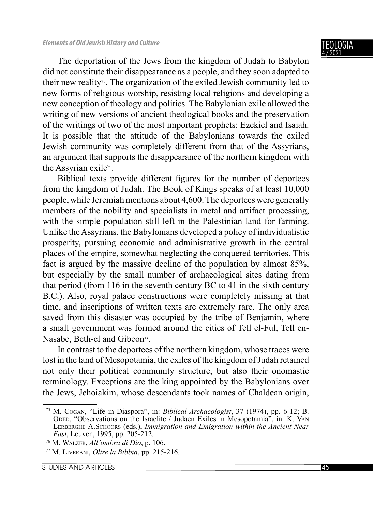The deportation of the Jews from the kingdom of Judah to Babylon did not constitute their disappearance as a people, and they soon adapted to their new reality75. The organization of the exiled Jewish community led to new forms of religious worship, resisting local religions and developing a new conception of theology and politics. The Babylonian exile allowed the writing of new versions of ancient theological books and the preservation of the writings of two of the most important prophets: Ezekiel and Isaiah. It is possible that the attitude of the Babylonians towards the exiled Jewish community was completely different from that of the Assyrians, an argument that supports the disappearance of the northern kingdom with the Assyrian exile<sup>76</sup>.

Biblical texts provide different figures for the number of deportees from the kingdom of Judah. The Book of Kings speaks of at least 10,000 people, while Jeremiah mentions about 4,600. The deportees were generally members of the nobility and specialists in metal and artifact processing, with the simple population still left in the Palestinian land for farming. Unlike the Assyrians, the Babylonians developed a policy of individualistic prosperity, pursuing economic and administrative growth in the central places of the empire, somewhat neglecting the conquered territories. This fact is argued by the massive decline of the population by almost 85%, but especially by the small number of archaeological sites dating from that period (from 116 in the seventh century BC to 41 in the sixth century B.C.). Also, royal palace constructions were completely missing at that time, and inscriptions of written texts are extremely rare. The only area saved from this disaster was occupied by the tribe of Benjamin, where a small government was formed around the cities of Tell el-Ful, Tell en-Nasabe, Beth-el and Gibeon<sup>77</sup>.

In contrast to the deportees of the northern kingdom, whose traces were lost in the land of Mesopotamia, the exiles of the kingdom of Judah retained not only their political community structure, but also their onomastic terminology. Exceptions are the king appointed by the Babylonians over the Jews, Jehoiakim, whose descendants took names of Chaldean origin,

<sup>75</sup> M. COGAN, "Life in Diaspora", in: *Biblical Archaeologist*, 37 (1974), pp. 6-12; B. ODED, "Observations on the Israelite / Judaen Exiles in Mesopotamia", in: K. VAN LERBERGHE-A.SCHOORS (eds.), *Immigration and Emigration within the Ancient Near East*, Leuven, 1995, pp. 205-212.

<sup>76</sup> M. WALZER, *All'ombra di Dio*, p. 106.

<sup>77</sup> M. LIVERANI, *Oltre la Bibbia*, pp. 215-216.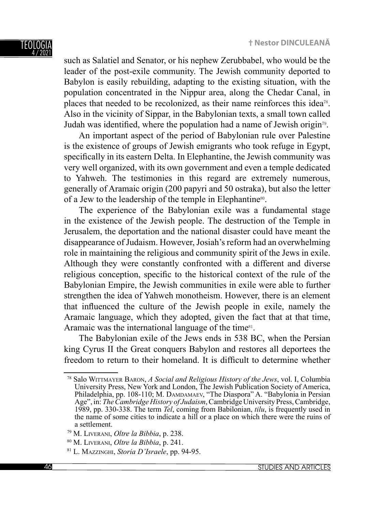#### TEOLOGI 4 / 2021

such as Salatiel and Senator, or his nephew Zerubbabel, who would be the leader of the post-exile community. The Jewish community deported to Babylon is easily rebuilding, adapting to the existing situation, with the population concentrated in the Nippur area, along the Chedar Canal, in places that needed to be recolonized, as their name reinforces this idea<sup>78</sup>. Also in the vicinity of Sippar, in the Babylonian texts, a small town called Judah was identified, where the population had a name of Jewish origin<sup>79</sup>.

An important aspect of the period of Babylonian rule over Palestine is the existence of groups of Jewish emigrants who took refuge in Egypt, specifically in its eastern Delta. In Elephantine, the Jewish community was very well organized, with its own government and even a temple dedicated to Yahweh. The testimonies in this regard are extremely numerous, generally of Aramaic origin (200 papyri and 50 ostraka), but also the letter of a Jew to the leadership of the temple in Elephantine<sup>80</sup>.

The experience of the Babylonian exile was a fundamental stage in the existence of the Jewish people. The destruction of the Temple in Jerusalem, the deportation and the national disaster could have meant the disappearance of Judaism. However, Josiah's reform had an overwhelming role in maintaining the religious and community spirit of the Jews in exile. Although they were constantly confronted with a different and diverse religious conception, specific to the historical context of the rule of the Babylonian Empire, the Jewish communities in exile were able to further strengthen the idea of Yahweh monotheism. However, there is an element that influenced the culture of the Jewish people in exile, namely the Aramaic language, which they adopted, given the fact that at that time, Aramaic was the international language of the time<sup>81</sup>.

The Babylonian exile of the Jews ends in 538 BC, when the Persian king Cyrus II the Great conquers Babylon and restores all deportees the freedom to return to their homeland. It is difficult to determine whether

<sup>78</sup> Salo WITTMAYER BARON, *A Social and Religious History of the Jews*, vol. I, Columbia University Press, New York and London, The Jewish Publication Society of America, Philadelphia, pp. 108-110; M. DAMDAMAEV, "The Diaspora" A. "Babylonia in Persian Age", in: *The Cambridge History of Judaism*, Cambridge University Press, Cambridge, 1989, pp. 330-338. The term *Tel*, coming from Babilonian, *tilu*, is frequently used in the name of some cities to indicate a hill or a place on which there were the ruins of a settlement.

<sup>79</sup> M. LIVERANI, *Oltre la Bibbia*, p. 238.

<sup>80</sup> M. LIVERANI, *Oltre la Bibbia*, p. 241.

<sup>81</sup> L. MAZZINGHI, *Storia D'Israele*, pp. 94-95.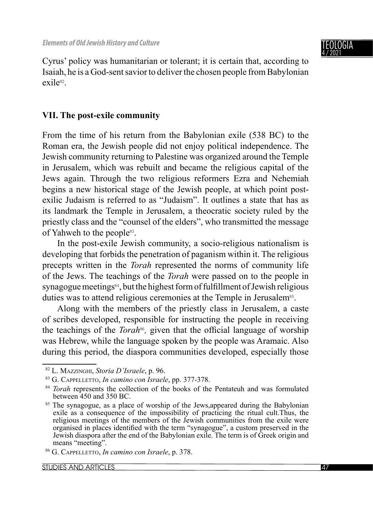

Cyrus' policy was humanitarian or tolerant; it is certain that, according to Isaiah, he is a God-sent savior to deliver the chosen people from Babylonian exile<sup>82</sup>.

# **VII. The post-exile community**

From the time of his return from the Babylonian exile (538 BC) to the Roman era, the Jewish people did not enjoy political independence. The Jewish community returning to Palestine was organized around the Temple in Jerusalem, which was rebuilt and became the religious capital of the Jews again. Through the two religious reformers Ezra and Nehemiah begins a new historical stage of the Jewish people, at which point postexilic Judaism is referred to as "Judaism". It outlines a state that has as its landmark the Temple in Jerusalem, a theocratic society ruled by the priestly class and the "counsel of the elders", who transmitted the message of Yahweh to the people<sup>83</sup>.

In the post-exile Jewish community, a socio-religious nationalism is developing that forbids the penetration of paganism within it. The religious precepts written in the *Torah* represented the norms of community life of the Jews. The teachings of the *Torah* were passed on to the people in synagogue meetings<sup>84</sup>, but the highest form of fulfillment of Jewish religious duties was to attend religious ceremonies at the Temple in Jerusalem<sup>85</sup>.

Along with the members of the priestly class in Jerusalem, a caste of scribes developed, responsible for instructing the people in receiving the teachings of the *Torah*<sup>86</sup>, given that the official language of worship was Hebrew, while the language spoken by the people was Aramaic. Also during this period, the diaspora communities developed, especially those

<sup>82</sup> L. MAZZINGHI, *Storia D'Israele*, p. 96.

<sup>83</sup> G. CAPPELLETTO, *In camino con Israele*, pp. 377-378.

<sup>&</sup>lt;sup>84</sup> *Torah* represents the collection of the books of the Pentateuh and was formulated between 450 and 350 BC.

<sup>85</sup> The synagogue, as a place of worship of the Jews,appeared during the Babylonian exile as a consequence of the impossibility of practicing the ritual cult.Thus, the religious meetings of the members of the Jewish communities from the exile were organised in places identified with the term "synagogue", a custom preserved in the Jewish diaspora after the end of the Babylonian exile. The term is of Greek origin and means "meeting".

<sup>86</sup> G. CAPPELLETTO, *In camino con Israele*, p. 378.